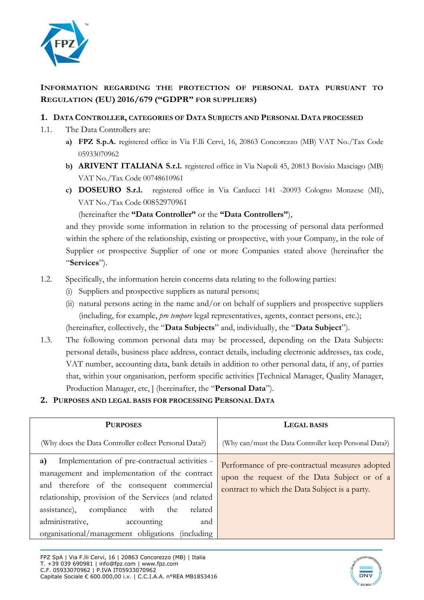

# **INFORMATION REGARDING THE PROTECTION OF PERSONAL DATA PURSUANT TO REGULATION (EU) 2016/679 ("GDPR" FOR SUPPLIERS)**

# **1. DATA CONTROLLER, CATEGORIES OF DATA SUBJECTS AND PERSONAL DATA PROCESSED**

- 1.1. The Data Controllers are:
	- **a) FPZ S.p.A.** registered office in Via F.lli Cervi, 16, 20863 Concorezzo (MB) VAT No./Tax Code 05933070962
	- **b) ARIVENT ITALIANA S.r.l.** registered office in Via Napoli 45, 20813 Bovisio Masciago (MB) VAT No./Tax Code 00748610961
	- **c) DOSEURO S.r.l.** registered office in Via Carducci 141 -20093 Cologno Monzese (MI), VAT No./Tax Code 00852970961

(hereinafter the **"Data Controller"** or the **"Data Controllers"**),

and they provide some information in relation to the processing of personal data performed within the sphere of the relationship, existing or prospective, with your Company, in the role of Supplier or prospective Supplier of one or more Companies stated above (hereinafter the "**Services**").

- 1.2. Specifically, the information herein concerns data relating to the following parties:
	- (i) Suppliers and prospective suppliers as natural persons;
	- (ii) natural persons acting in the name and/or on behalf of suppliers and prospective suppliers (including, for example, *pro tempore* legal representatives, agents, contact persons, etc.); (hereinafter, collectively, the "**Data Subjects**" and, individually, the "**Data Subject**").
- 1.3. The following common personal data may be processed, depending on the Data Subjects: personal details, business place address, contact details, including electronic addresses, tax code, VAT number, accounting data, bank details in addition to other personal data, if any, of parties that, within your organisation, perform specific activities [Technical Manager, Quality Manager, Production Manager, etc, ] (hereinafter, the "**Personal Data**").
- **2. PURPOSES AND LEGAL BASIS FOR PROCESSING PERSONAL DATA**

| <b>PURPOSES</b>                                                                                                                                                                                                                                                                                                                                              | <b>LEGAL BASIS</b>                                                                                                                                |
|--------------------------------------------------------------------------------------------------------------------------------------------------------------------------------------------------------------------------------------------------------------------------------------------------------------------------------------------------------------|---------------------------------------------------------------------------------------------------------------------------------------------------|
| (Why does the Data Controller collect Personal Data?)                                                                                                                                                                                                                                                                                                        | (Why can/must the Data Controller keep Personal Data?)                                                                                            |
| Implementation of pre-contractual activities -<br>a)<br>management and implementation of the contract<br>and therefore of the consequent commercial<br>relationship, provision of the Services (and related<br>compliance with<br>assistance),<br>related<br>the<br>administrative,<br>accounting<br>and<br>organisational/management obligations (including | Performance of pre-contractual measures adopted<br>upon the request of the Data Subject or of a<br>contract to which the Data Subject is a party. |

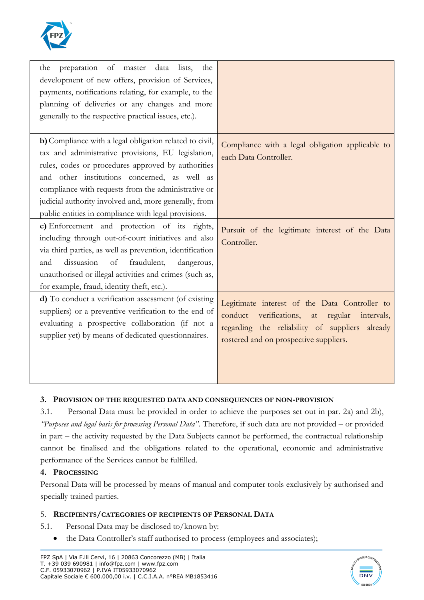

| preparation of master data<br>the<br>lists,<br>the<br>development of new offers, provision of Services,<br>payments, notifications relating, for example, to the<br>planning of deliveries or any changes and more<br>generally to the respective practical issues, etc.).                                                                                                                  |                                                                                                                                                                                              |
|---------------------------------------------------------------------------------------------------------------------------------------------------------------------------------------------------------------------------------------------------------------------------------------------------------------------------------------------------------------------------------------------|----------------------------------------------------------------------------------------------------------------------------------------------------------------------------------------------|
| b) Compliance with a legal obligation related to civil,<br>tax and administrative provisions, EU legislation,<br>rules, codes or procedures approved by authorities<br>and other institutions concerned, as well as<br>compliance with requests from the administrative or<br>judicial authority involved and, more generally, from<br>public entities in compliance with legal provisions. | Compliance with a legal obligation applicable to<br>each Data Controller.                                                                                                                    |
| c) Enforcement and protection of its rights,<br>including through out-of-court initiatives and also<br>via third parties, as well as prevention, identification<br>dissuasion<br>and<br>of<br>fraudulent,<br>dangerous,<br>unauthorised or illegal activities and crimes (such as,<br>for example, fraud, identity theft, etc.).                                                            | Pursuit of the legitimate interest of the Data<br>Controller.                                                                                                                                |
| d) To conduct a verification assessment (of existing<br>suppliers) or a preventive verification to the end of<br>evaluating a prospective collaboration (if not a<br>supplier yet) by means of dedicated questionnaires.                                                                                                                                                                    | Legitimate interest of the Data Controller to<br>verifications, at regular intervals,<br>conduct<br>regarding the reliability of suppliers already<br>rostered and on prospective suppliers. |

### **3. PROVISION OF THE REQUESTED DATA AND CONSEQUENCES OF NON-PROVISION**

3.1. Personal Data must be provided in order to achieve the purposes set out in par. 2a) and 2b), *"Purposes and legal basis for processing Personal Data"*. Therefore, if such data are not provided – or provided in part – the activity requested by the Data Subjects cannot be performed, the contractual relationship cannot be finalised and the obligations related to the operational, economic and administrative performance of the Services cannot be fulfilled.

### **4. PROCESSING**

Personal Data will be processed by means of manual and computer tools exclusively by authorised and specially trained parties.

# 5. **RECIPIENTS/CATEGORIES OF RECIPIENTS OF PERSONAL DATA**

- 5.1. Personal Data may be disclosed to/known by:
	- the Data Controller's staff authorised to process (employees and associates);

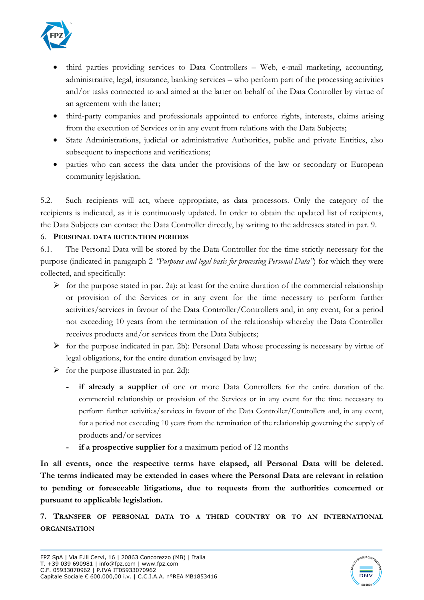

- third parties providing services to Data Controllers Web, e-mail marketing, accounting, administrative, legal, insurance, banking services – who perform part of the processing activities and/or tasks connected to and aimed at the latter on behalf of the Data Controller by virtue of an agreement with the latter;
- third-party companies and professionals appointed to enforce rights, interests, claims arising from the execution of Services or in any event from relations with the Data Subjects;
- State Administrations, judicial or administrative Authorities, public and private Entities, also subsequent to inspections and verifications;
- parties who can access the data under the provisions of the law or secondary or European community legislation.

5.2. Such recipients will act, where appropriate, as data processors. Only the category of the recipients is indicated, as it is continuously updated. In order to obtain the updated list of recipients, the Data Subjects can contact the Data Controller directly, by writing to the addresses stated in par. 9.

# 6. **PERSONAL DATA RETENTION PERIODS**

6.1. The Personal Data will be stored by the Data Controller for the time strictly necessary for the purpose (indicated in paragraph 2 *"Purposes and legal basis for processing Personal Data"*) for which they were collected, and specifically:

- $\triangleright$  for the purpose stated in par. 2a): at least for the entire duration of the commercial relationship or provision of the Services or in any event for the time necessary to perform further activities/services in favour of the Data Controller/Controllers and, in any event, for a period not exceeding 10 years from the termination of the relationship whereby the Data Controller receives products and/or services from the Data Subjects;
- ➢ for the purpose indicated in par. 2b): Personal Data whose processing is necessary by virtue of legal obligations, for the entire duration envisaged by law;
- $\triangleright$  for the purpose illustrated in par. 2d):
	- **if already a supplier** of one or more Data Controllers for the entire duration of the commercial relationship or provision of the Services or in any event for the time necessary to perform further activities/services in favour of the Data Controller/Controllers and, in any event, for a period not exceeding 10 years from the termination of the relationship governing the supply of products and/or services
	- **if a prospective supplier** for a maximum period of 12 months

**In all events, once the respective terms have elapsed, all Personal Data will be deleted. The terms indicated may be extended in cases where the Personal Data are relevant in relation to pending or foreseeable litigations, due to requests from the authorities concerned or pursuant to applicable legislation.** 

**7. TRANSFER OF PERSONAL DATA TO A THIRD COUNTRY OR TO AN INTERNATIONAL ORGANISATION**

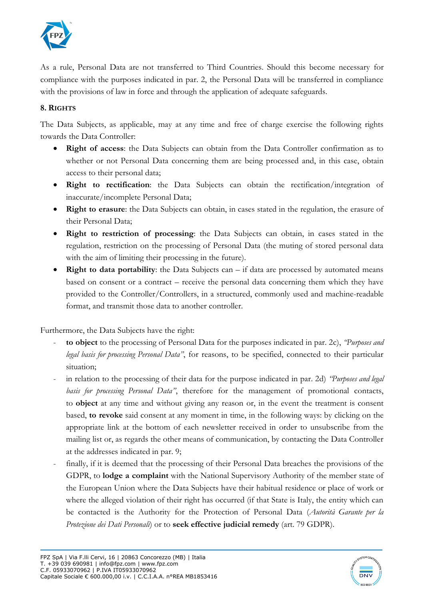

As a rule, Personal Data are not transferred to Third Countries. Should this become necessary for compliance with the purposes indicated in par. 2, the Personal Data will be transferred in compliance with the provisions of law in force and through the application of adequate safeguards.

# **8. RIGHTS**

The Data Subjects, as applicable, may at any time and free of charge exercise the following rights towards the Data Controller:

- **Right of access**: the Data Subjects can obtain from the Data Controller confirmation as to whether or not Personal Data concerning them are being processed and, in this case, obtain access to their personal data;
- **Right to rectification**: the Data Subjects can obtain the rectification/integration of inaccurate/incomplete Personal Data;
- **Right to erasure**: the Data Subjects can obtain, in cases stated in the regulation, the erasure of their Personal Data;
- **Right to restriction of processing**: the Data Subjects can obtain, in cases stated in the regulation, restriction on the processing of Personal Data (the muting of stored personal data with the aim of limiting their processing in the future).
- **Right to data portability**: the Data Subjects can  $-$  if data are processed by automated means based on consent or a contract – receive the personal data concerning them which they have provided to the Controller/Controllers, in a structured, commonly used and machine-readable format, and transmit those data to another controller.

Furthermore, the Data Subjects have the right:

- **to object** to the processing of Personal Data for the purposes indicated in par. 2c), *"Purposes and legal basis for processing Personal Data"*, for reasons, to be specified, connected to their particular situation;
- in relation to the processing of their data for the purpose indicated in par. 2d) *"Purposes and legal basis for processing Personal Data"*, therefore for the management of promotional contacts, to **object** at any time and without giving any reason or, in the event the treatment is consent based, **to revoke** said consent at any moment in time, in the following ways: by clicking on the appropriate link at the bottom of each newsletter received in order to unsubscribe from the mailing list or, as regards the other means of communication, by contacting the Data Controller at the addresses indicated in par. 9;
- finally, if it is deemed that the processing of their Personal Data breaches the provisions of the GDPR, to **lodge a complaint** with the National Supervisory Authority of the member state of the European Union where the Data Subjects have their habitual residence or place of work or where the alleged violation of their right has occurred (if that State is Italy, the entity which can be contacted is the Authority for the Protection of Personal Data (*Autorità Garante per la Protezione dei Dati Personali*) or to **seek effective judicial remedy** (art. 79 GDPR).